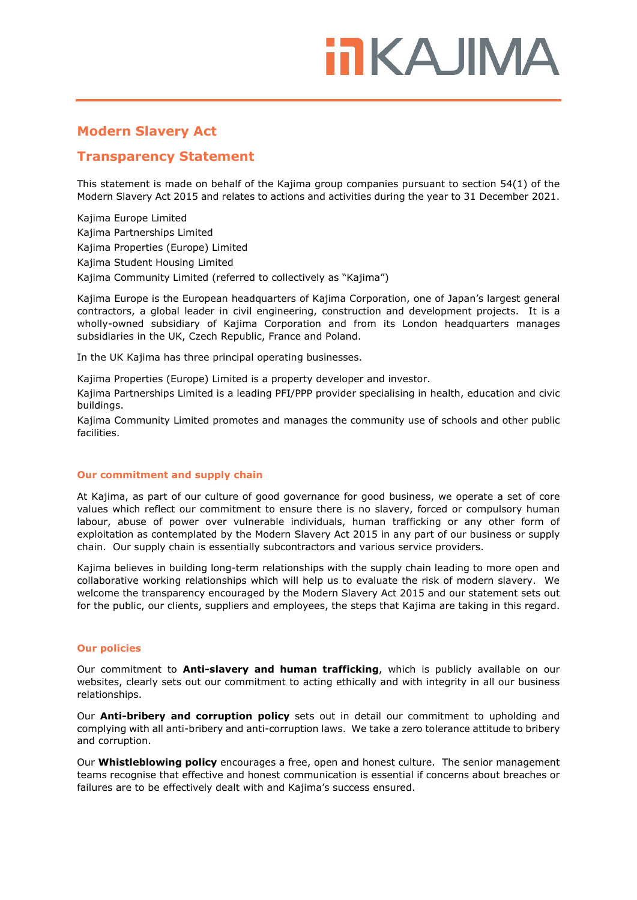# **inKAJIMA**

## **Modern Slavery Act**

## **Transparency Statement**

This statement is made on behalf of the Kajima group companies pursuant to section 54(1) of the Modern Slavery Act 2015 and relates to actions and activities during the year to 31 December 2021.

Kajima Europe Limited Kajima Partnerships Limited Kajima Properties (Europe) Limited Kajima Student Housing Limited Kajima Community Limited (referred to collectively as "Kajima")

Kajima Europe is the European headquarters of Kajima Corporation, one of Japan's largest general contractors, a global leader in civil engineering, construction and development projects. It is a wholly-owned subsidiary of Kajima Corporation and from its London headquarters manages subsidiaries in the UK, Czech Republic, France and Poland.

In the UK Kajima has three principal operating businesses.

Kajima Properties (Europe) Limited is a property developer and investor.

Kajima Partnerships Limited is a leading PFI/PPP provider specialising in health, education and civic buildings.

Kajima Community Limited promotes and manages the community use of schools and other public facilities.

### **Our commitment and supply chain**

At Kajima, as part of our culture of good governance for good business, we operate a set of core values which reflect our commitment to ensure there is no slavery, forced or compulsory human labour, abuse of power over vulnerable individuals, human trafficking or any other form of exploitation as contemplated by the Modern Slavery Act 2015 in any part of our business or supply chain. Our supply chain is essentially subcontractors and various service providers.

Kajima believes in building long-term relationships with the supply chain leading to more open and collaborative working relationships which will help us to evaluate the risk of modern slavery. We welcome the transparency encouraged by the Modern Slavery Act 2015 and our statement sets out for the public, our clients, suppliers and employees, the steps that Kajima are taking in this regard.

### **Our policies**

Our commitment to **Anti-slavery and human trafficking**, which is publicly available on our websites, clearly sets out our commitment to acting ethically and with integrity in all our business relationships.

Our **Anti-bribery and corruption policy** sets out in detail our commitment to upholding and complying with all anti-bribery and anti-corruption laws. We take a zero tolerance attitude to bribery and corruption.

Our **Whistleblowing policy** encourages a free, open and honest culture. The senior management teams recognise that effective and honest communication is essential if concerns about breaches or failures are to be effectively dealt with and Kajima's success ensured.